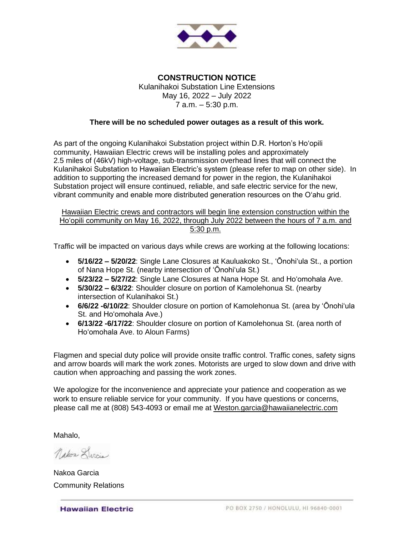

**CONSTRUCTION NOTICE** Kulanihakoi Substation Line Extensions May 16, 2022 – July 2022 7 a.m. – 5:30 p.m.

## **There will be no scheduled power outages as a result of this work.**

As part of the ongoing Kulanihakoi Substation project within D.R. Horton's Ho'opili community, Hawaiian Electric crews will be installing poles and approximately 2.5 miles of (46kV) high-voltage, sub-transmission overhead lines that will connect the Kulanihakoi Substation to Hawaiian Electric's system (please refer to map on other side). In addition to supporting the increased demand for power in the region, the Kulanihakoi Substation project will ensure continued, reliable, and safe electric service for the new, vibrant community and enable more distributed generation resources on the O'ahu grid.

Hawaiian Electric crews and contractors will begin line extension construction within the Ho'opili community on May 16, 2022, through July 2022 between the hours of 7 a.m. and 5:30 p.m.

Traffic will be impacted on various days while crews are working at the following locations:

- **5/16/22 – 5/20/22**: Single Lane Closures at Kauluakoko St., 'Ōnohi'ula St., a portion of Nana Hope St. (nearby intersection of 'Ōnohi'ula St.)
- **5/23/22 – 5/27/22**: Single Lane Closures at Nana Hope St. and Ho'omohala Ave.
- **5/30/22 – 6/3/22**: Shoulder closure on portion of Kamolehonua St. (nearby intersection of Kulanihakoi St.)
- **6/6/22 -6/10/22**: Shoulder closure on portion of Kamolehonua St. (area by 'Ōnohi'ula St. and Ho'omohala Ave.)
- **6/13/22 -6/17/22**: Shoulder closure on portion of Kamolehonua St. (area north of Ho'omohala Ave. to Aloun Farms)

Flagmen and special duty police will provide onsite traffic control. Traffic cones, safety signs and arrow boards will mark the work zones. Motorists are urged to slow down and drive with caution when approaching and passing the work zones.

We apologize for the inconvenience and appreciate your patience and cooperation as we work to ensure reliable service for your community. If you have questions or concerns, please call me at (808) 543-4093 or email me at [Weston.garcia@hawaiianelectric.com](mailto:Weston.garcia@hawaiianelectric.com)

Mahalo,

Nakor Darcia

Nakoa Garcia Community Relations

**Hawaiian Electric**